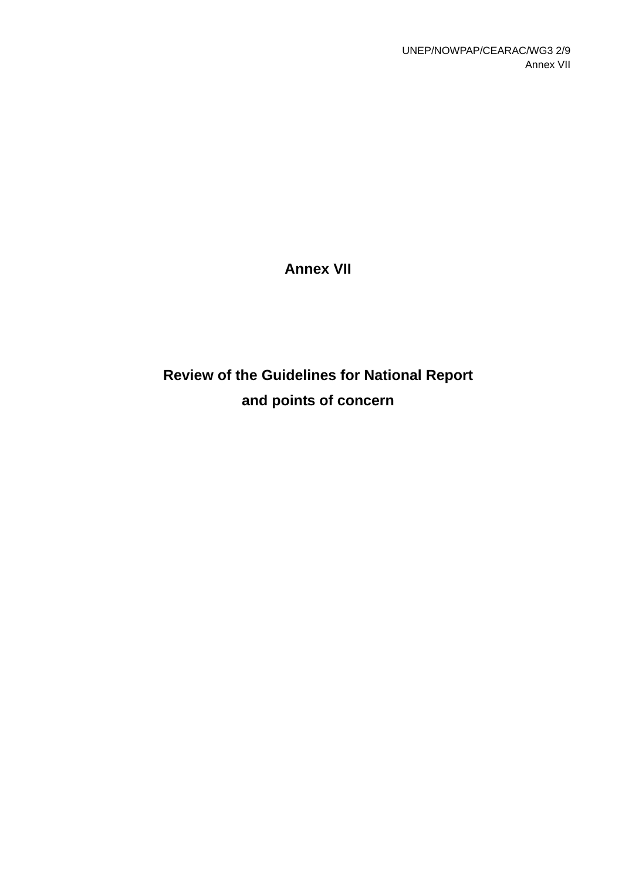# **Annex VII**

# **Review of the Guidelines for National Report and points of concern**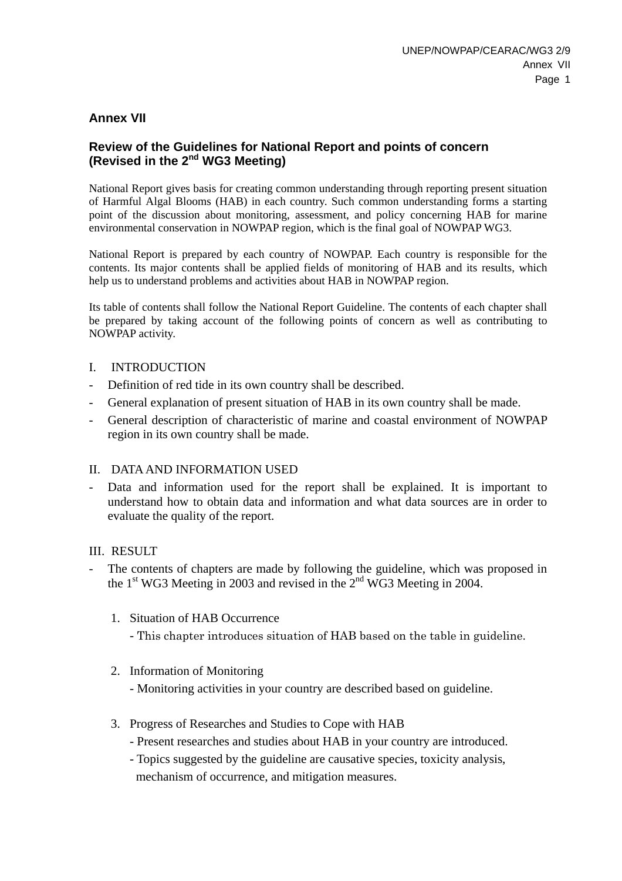### **Annex VII**

#### **Review of the Guidelines for National Report and points of concern (Revised in the 2nd WG3 Meeting)**

National Report gives basis for creating common understanding through reporting present situation of Harmful Algal Blooms (HAB) in each country. Such common understanding forms a starting point of the discussion about monitoring, assessment, and policy concerning HAB for marine environmental conservation in NOWPAP region, which is the final goal of NOWPAP WG3.

National Report is prepared by each country of NOWPAP. Each country is responsible for the contents. Its major contents shall be applied fields of monitoring of HAB and its results, which help us to understand problems and activities about HAB in NOWPAP region.

Its table of contents shall follow the National Report Guideline. The contents of each chapter shall be prepared by taking account of the following points of concern as well as contributing to NOWPAP activity.

#### I. INTRODUCTION

- Definition of red tide in its own country shall be described.
- General explanation of present situation of HAB in its own country shall be made.
- General description of characteristic of marine and coastal environment of NOWPAP region in its own country shall be made.

#### II. DATA AND INFORMATION USED

- Data and information used for the report shall be explained. It is important to understand how to obtain data and information and what data sources are in order to evaluate the quality of the report.

#### III. RESULT

- The contents of chapters are made by following the guideline, which was proposed in the  $1<sup>st</sup> WG3$  Meeting in 2003 and revised in the  $2<sup>nd</sup> WG3$  Meeting in 2004.
	- 1. Situation of HAB Occurrence
		- This chapter introduces situation of HAB based on the table in guideline.
	- 2. Information of Monitoring
		- Monitoring activities in your country are described based on guideline.
	- 3. Progress of Researches and Studies to Cope with HAB
		- Present researches and studies about HAB in your country are introduced.
		- Topics suggested by the guideline are causative species, toxicity analysis, mechanism of occurrence, and mitigation measures.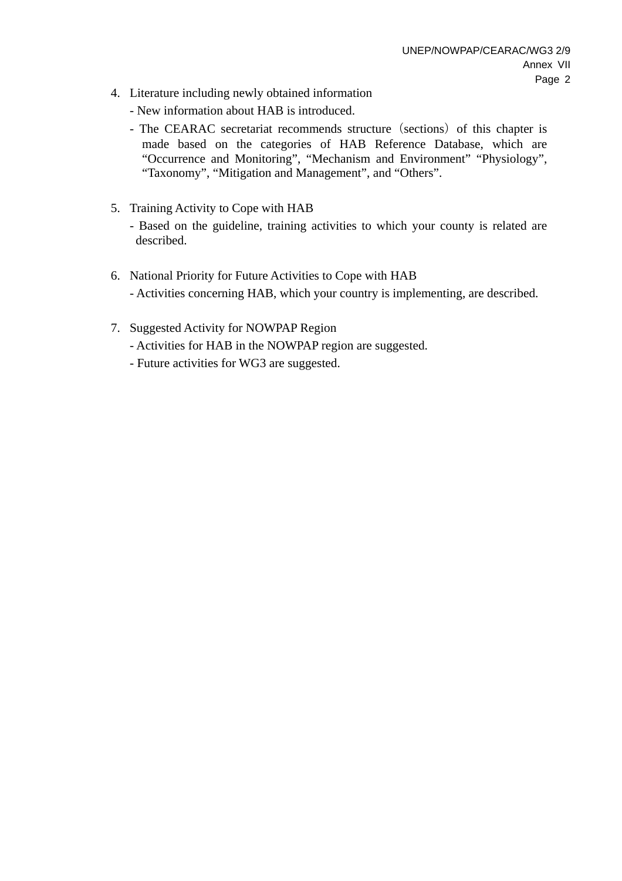- 4. Literature including newly obtained information
	- New information about HAB is introduced.
	- The CEARAC secretariat recommends structure (sections) of this chapter is made based on the categories of HAB Reference Database, which are "Occurrence and Monitoring", "Mechanism and Environment" "Physiology", "Taxonomy", "Mitigation and Management", and "Others".
- 5. Training Activity to Cope with HAB
	- Based on the guideline, training activities to which your county is related are described.
- 6. National Priority for Future Activities to Cope with HAB - Activities concerning HAB, which your country is implementing, are described.
- 7. Suggested Activity for NOWPAP Region
	- Activities for HAB in the NOWPAP region are suggested.
	- Future activities for WG3 are suggested.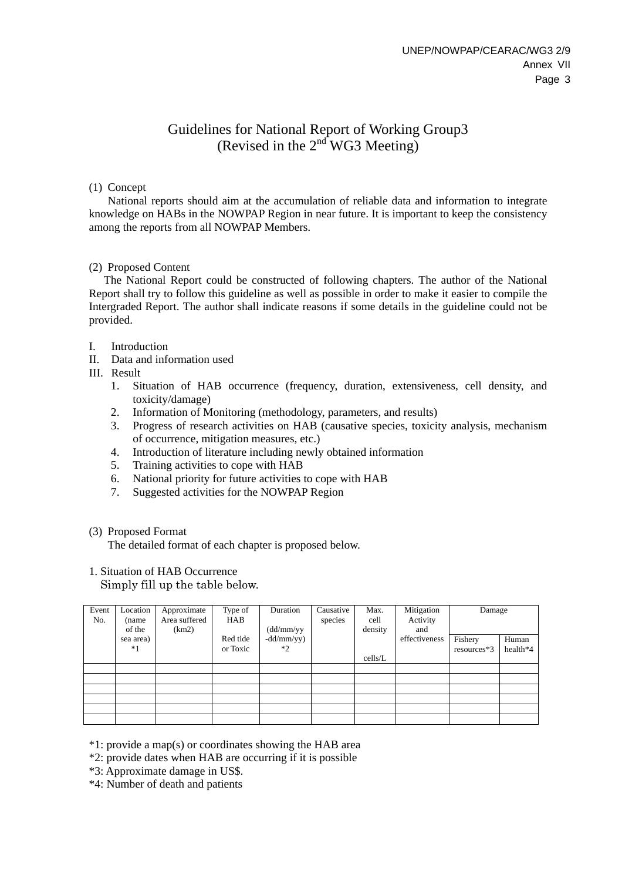## Guidelines for National Report of Working Group3 (Revised in the  $2<sup>nd</sup>WG3 Meeting$ )

#### (1) Concept

National reports should aim at the accumulation of reliable data and information to integrate knowledge on HABs in the NOWPAP Region in near future. It is important to keep the consistency among the reports from all NOWPAP Members.

#### (2) Proposed Content

The National Report could be constructed of following chapters. The author of the National Report shall try to follow this guideline as well as possible in order to make it easier to compile the Intergraded Report. The author shall indicate reasons if some details in the guideline could not be provided.

- I. Introduction
- II. Data and information used
- III. Result
	- 1. Situation of HAB occurrence (frequency, duration, extensiveness, cell density, and toxicity/damage)
	- 2. Information of Monitoring (methodology, parameters, and results)
	- 3. Progress of research activities on HAB (causative species, toxicity analysis, mechanism of occurrence, mitigation measures, etc.)
	- 4. Introduction of literature including newly obtained information
	- 5. Training activities to cope with HAB
	- 6. National priority for future activities to cope with HAB
	- 7. Suggested activities for the NOWPAP Region

#### (3) Proposed Format

The detailed format of each chapter is proposed below.

#### 1. Situation of HAB Occurrence

Simply fill up the table below.

| Event<br>No. | Location<br>(name<br>of the | Approximate<br>Area suffered<br>(km2) | Type of<br>HAB | Duration<br>(dd/mm/yy | Causative<br>species | Max.<br>cell<br>density | Mitigation<br>Activity<br>and | Damage      |          |
|--------------|-----------------------------|---------------------------------------|----------------|-----------------------|----------------------|-------------------------|-------------------------------|-------------|----------|
|              | sea area)                   |                                       | Red tide       | $-dd/mm/yy)$          |                      |                         | effectiveness                 | Fishery     | Human    |
|              | $*1$                        |                                       | or Toxic       | $*2$                  |                      |                         |                               | resources*3 | health*4 |
|              |                             |                                       |                |                       |                      | cells/L                 |                               |             |          |
|              |                             |                                       |                |                       |                      |                         |                               |             |          |
|              |                             |                                       |                |                       |                      |                         |                               |             |          |
|              |                             |                                       |                |                       |                      |                         |                               |             |          |
|              |                             |                                       |                |                       |                      |                         |                               |             |          |
|              |                             |                                       |                |                       |                      |                         |                               |             |          |
|              |                             |                                       |                |                       |                      |                         |                               |             |          |

\*1: provide a map(s) or coordinates showing the HAB area

\*2: provide dates when HAB are occurring if it is possible

\*3: Approximate damage in US\$.

\*4: Number of death and patients